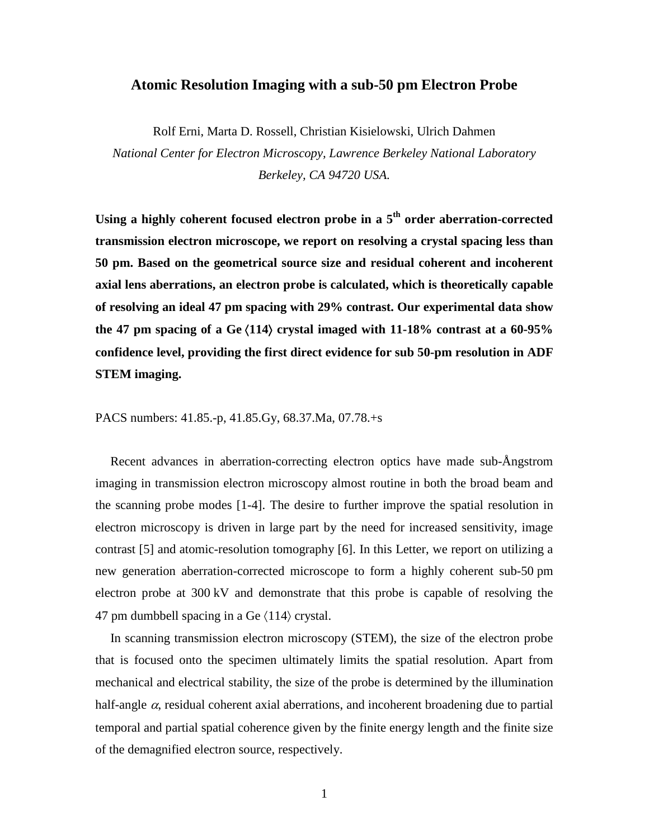## **Atomic Resolution Imaging with a sub-50 pm Electron Probe**

Rolf Erni, Marta D. Rossell, Christian Kisielowski, Ulrich Dahmen *National Center for Electron Microscopy, Lawrence Berkeley National Laboratory Berkeley, CA 94720 USA.* 

**Using a highly coherent focused electron probe in a 5th order aberration-corrected transmission electron microscope, we report on resolving a crystal spacing less than 50 pm. Based on the geometrical source size and residual coherent and incoherent axial lens aberrations, an electron probe is calculated, which is theoretically capable of resolving an ideal 47 pm spacing with 29% contrast. Our experimental data show the 47 pm spacing of a Ge** 〈**114**〉 **crystal imaged with 11-18% contrast at a 60-95% confidence level, providing the first direct evidence for sub 50-pm resolution in ADF STEM imaging.** 

PACS numbers: 41.85.-p, 41.85.Gy, 68.37.Ma, 07.78.+s

Recent advances in aberration-correcting electron optics have made sub-Ångstrom imaging in transmission electron microscopy almost routine in both the broad beam and the scanning probe modes [1-4]. The desire to further improve the spatial resolution in electron microscopy is driven in large part by the need for increased sensitivity, image contrast [5] and atomic-resolution tomography [6]. In this Letter, we report on utilizing a new generation aberration-corrected microscope to form a highly coherent sub-50 pm electron probe at 300 kV and demonstrate that this probe is capable of resolving the 47 pm dumbbell spacing in a Ge  $\langle 114 \rangle$  crystal.

In scanning transmission electron microscopy (STEM), the size of the electron probe that is focused onto the specimen ultimately limits the spatial resolution. Apart from mechanical and electrical stability, the size of the probe is determined by the illumination half-angle  $\alpha$ , residual coherent axial aberrations, and incoherent broadening due to partial temporal and partial spatial coherence given by the finite energy length and the finite size of the demagnified electron source, respectively.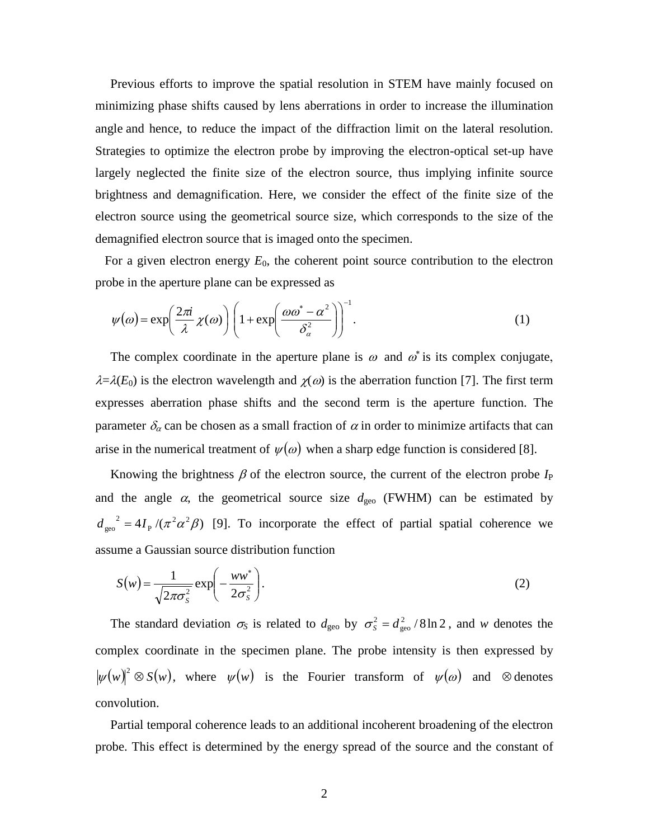Previous efforts to improve the spatial resolution in STEM have mainly focused on minimizing phase shifts caused by lens aberrations in order to increase the illumination angle and hence, to reduce the impact of the diffraction limit on the lateral resolution. Strategies to optimize the electron probe by improving the electron-optical set-up have largely neglected the finite size of the electron source, thus implying infinite source brightness and demagnification. Here, we consider the effect of the finite size of the electron source using the geometrical source size, which corresponds to the size of the demagnified electron source that is imaged onto the specimen.

For a given electron energy  $E_0$ , the coherent point source contribution to the electron probe in the aperture plane can be expressed as

$$
\psi(\omega) = \exp\left(\frac{2\pi i}{\lambda} \chi(\omega)\right) \left(1 + \exp\left(\frac{\omega \omega^* - \alpha^2}{\delta_\alpha^2}\right)\right)^{-1}.\tag{1}
$$

The complex coordinate in the aperture plane is  $\omega$  and  $\omega^*$  is its complex conjugate,  $\lambda = \lambda(E_0)$  is the electron wavelength and  $\chi(\omega)$  is the aberration function [7]. The first term expresses aberration phase shifts and the second term is the aperture function. The parameter  $\delta_{\alpha}$  can be chosen as a small fraction of  $\alpha$  in order to minimize artifacts that can arise in the numerical treatment of  $\psi(\omega)$  when a sharp edge function is considered [8].

Knowing the brightness  $\beta$  of the electron source, the current of the electron probe  $I_P$ and the angle  $\alpha$ , the geometrical source size  $d_{\text{geo}}$  (FWHM) can be estimated by  $4I_{\scriptscriptstyle\rm P}$  /( $\pi^2\alpha^2\beta)$ P  $d_{\text{geo}}^2 = 4I_{\text{P}}/(\pi^2 \alpha^2 \beta)$  [9]. To incorporate the effect of partial spatial coherence we assume a Gaussian source distribution function

$$
S(w) = \frac{1}{\sqrt{2\pi\sigma_S^2}} \exp\left(-\frac{ww^*}{2\sigma_S^2}\right).
$$
 (2)

The standard deviation  $\sigma_S$  is related to  $d_{\text{geo}}$  by  $\sigma_S^2 = d_{\text{geo}}^2 / 8 \ln 2$ geo  $\sigma_s^2 = d_{\text{geo}}^2 / 8 \ln 2$ , and *w* denotes the complex coordinate in the specimen plane. The probe intensity is then expressed by  $|\psi(w)|^2 \otimes S(w)$ , where  $\psi(w)$  is the Fourier transform of  $\psi(\omega)$  and  $\otimes$  denotes convolution.

Partial temporal coherence leads to an additional incoherent broadening of the electron probe. This effect is determined by the energy spread of the source and the constant of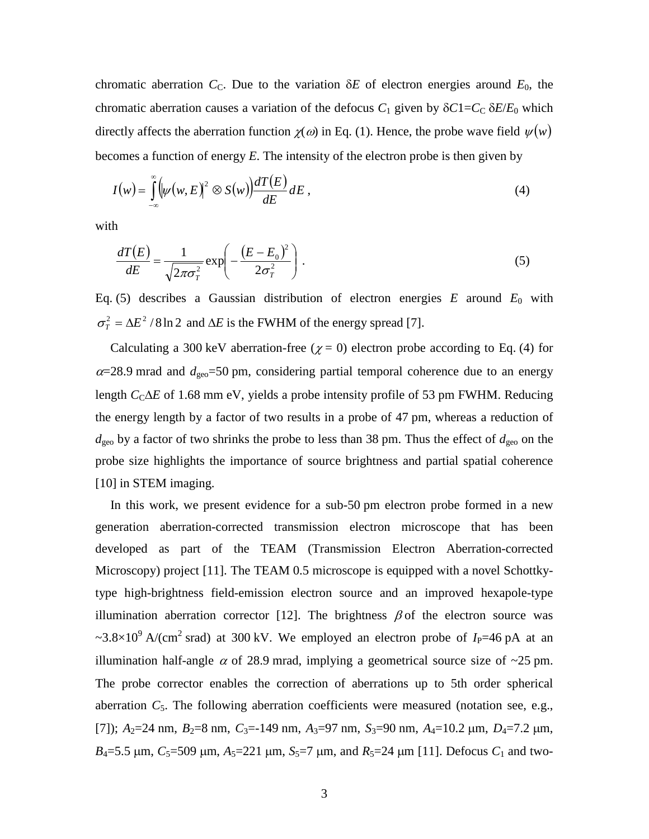chromatic aberration  $C_c$ . Due to the variation  $\delta E$  of electron energies around  $E_0$ , the chromatic aberration causes a variation of the defocus  $C_1$  given by  $\delta C1 = C_C \delta E/E_0$  which directly affects the aberration function  $\chi(\omega)$  in Eq. (1). Hence, the probe wave field  $\psi(w)$ becomes a function of energy *E*. The intensity of the electron probe is then given by

$$
I(w) = \int_{-\infty}^{\infty} \left( \psi(w, E) \right)^2 \otimes S(w) \frac{dT(E)}{dE} dE , \qquad (4)
$$

with

$$
\frac{dT(E)}{dE} = \frac{1}{\sqrt{2\pi\sigma_T^2}} \exp\left(-\frac{(E - E_0)^2}{2\sigma_T^2}\right).
$$
\n(5)

Eq. (5) describes a Gaussian distribution of electron energies  $E$  around  $E_0$  with  $\sigma_T^2 = \Delta E^2 / 8 \ln 2$  and  $\Delta E$  is the FWHM of the energy spread [7].

Calculating a 300 keV aberration-free ( $\chi$  = 0) electron probe according to Eq. (4) for  $\alpha$ =28.9 mrad and  $d_{\text{geo}}$ =50 pm, considering partial temporal coherence due to an energy length *C*<sub>C</sub>∆*E* of 1.68 mm eV, yields a probe intensity profile of 53 pm FWHM. Reducing the energy length by a factor of two results in a probe of 47 pm, whereas a reduction of  $d_{\text{geo}}$  by a factor of two shrinks the probe to less than 38 pm. Thus the effect of  $d_{\text{geo}}$  on the probe size highlights the importance of source brightness and partial spatial coherence [10] in STEM imaging.

In this work, we present evidence for a sub-50 pm electron probe formed in a new generation aberration-corrected transmission electron microscope that has been developed as part of the TEAM (Transmission Electron Aberration-corrected Microscopy) project [11]. The TEAM 0.5 microscope is equipped with a novel Schottkytype high-brightness field-emission electron source and an improved hexapole-type illumination aberration corrector [12]. The brightness  $\beta$  of the electron source was  $\sim$ 3.8×10<sup>9</sup> A/(cm<sup>2</sup> srad) at 300 kV. We employed an electron probe of *I*<sub>P</sub>=46 pA at an illumination half-angle  $\alpha$  of 28.9 mrad, implying a geometrical source size of  $\sim$ 25 pm. The probe corrector enables the correction of aberrations up to 5th order spherical aberration  $C_5$ . The following aberration coefficients were measured (notation see, e.g., [7]);  $A_2=24$  nm,  $B_2=8$  nm,  $C_3=149$  nm,  $A_3=97$  nm,  $S_3=90$  nm,  $A_4=10.2$  µm,  $D_4=7.2$  µm,  $B_4$ =5.5  $\mu$ m,  $C_5$ =509  $\mu$ m,  $A_5$ =221  $\mu$ m,  $S_5$ =7  $\mu$ m, and  $R_5$ =24  $\mu$ m [11]. Defocus  $C_1$  and two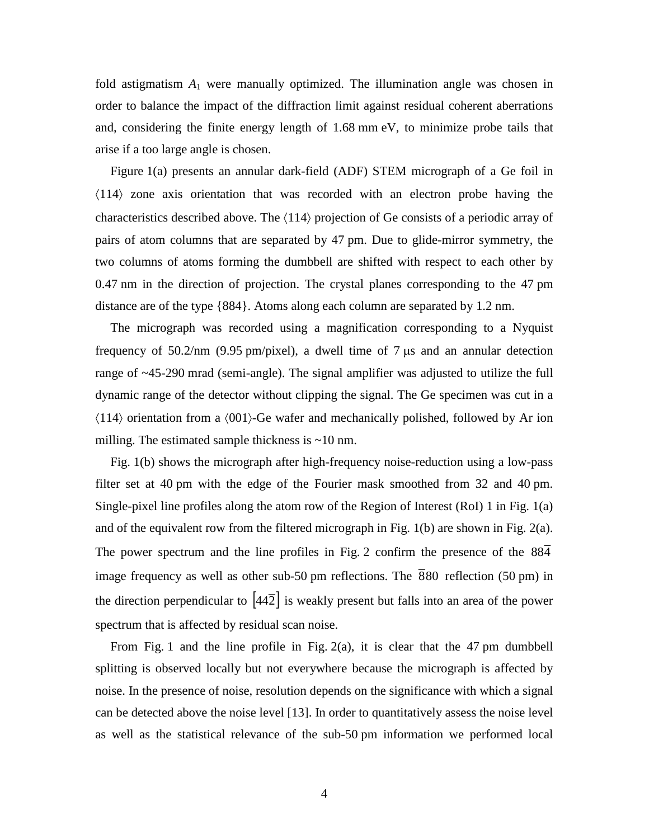fold astigmatism  $A_1$  were manually optimized. The illumination angle was chosen in order to balance the impact of the diffraction limit against residual coherent aberrations and, considering the finite energy length of 1.68 mm eV, to minimize probe tails that arise if a too large angle is chosen.

Figure 1(a) presents an annular dark-field (ADF) STEM micrograph of a Ge foil in 〈114〉 zone axis orientation that was recorded with an electron probe having the characteristics described above. The 〈114〉 projection of Ge consists of a periodic array of pairs of atom columns that are separated by 47 pm. Due to glide-mirror symmetry, the two columns of atoms forming the dumbbell are shifted with respect to each other by 0.47 nm in the direction of projection. The crystal planes corresponding to the 47 pm distance are of the type {884}. Atoms along each column are separated by 1.2 nm.

The micrograph was recorded using a magnification corresponding to a Nyquist frequency of  $50.2/\text{nm}$  (9.95 pm/pixel), a dwell time of 7  $\mu$ s and an annular detection range of ~45-290 mrad (semi-angle). The signal amplifier was adjusted to utilize the full dynamic range of the detector without clipping the signal. The Ge specimen was cut in a 〈114〉 orientation from a 〈001〉-Ge wafer and mechanically polished, followed by Ar ion milling. The estimated sample thickness is  $\sim$ 10 nm.

Fig. 1(b) shows the micrograph after high-frequency noise-reduction using a low-pass filter set at 40 pm with the edge of the Fourier mask smoothed from 32 and 40 pm. Single-pixel line profiles along the atom row of the Region of Interest (RoI) 1 in Fig. 1(a) and of the equivalent row from the filtered micrograph in Fig. 1(b) are shown in Fig. 2(a). The power spectrum and the line profiles in Fig. 2 confirm the presence of the 884 image frequency as well as other sub-50 pm reflections. The  $\overline{880}$  reflection (50 pm) in the direction perpendicular to  $\left[44\overline{2}\right]$  is weakly present but falls into an area of the power spectrum that is affected by residual scan noise.

From Fig. 1 and the line profile in Fig. 2(a), it is clear that the 47 pm dumbbell splitting is observed locally but not everywhere because the micrograph is affected by noise. In the presence of noise, resolution depends on the significance with which a signal can be detected above the noise level [13]. In order to quantitatively assess the noise level as well as the statistical relevance of the sub-50 pm information we performed local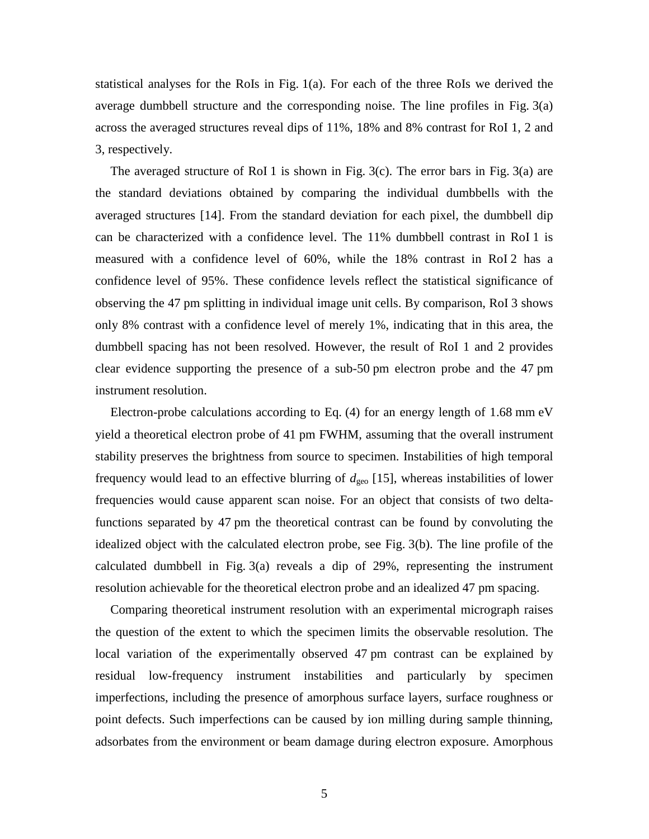statistical analyses for the RoIs in Fig.  $1(a)$ . For each of the three RoIs we derived the average dumbbell structure and the corresponding noise. The line profiles in Fig. 3(a) across the averaged structures reveal dips of 11%, 18% and 8% contrast for RoI 1, 2 and 3, respectively.

The averaged structure of RoI 1 is shown in Fig. 3(c). The error bars in Fig. 3(a) are the standard deviations obtained by comparing the individual dumbbells with the averaged structures [14]. From the standard deviation for each pixel, the dumbbell dip can be characterized with a confidence level. The 11% dumbbell contrast in RoI 1 is measured with a confidence level of 60%, while the 18% contrast in RoI 2 has a confidence level of 95%. These confidence levels reflect the statistical significance of observing the 47 pm splitting in individual image unit cells. By comparison, RoI 3 shows only 8% contrast with a confidence level of merely 1%, indicating that in this area, the dumbbell spacing has not been resolved. However, the result of RoI 1 and 2 provides clear evidence supporting the presence of a sub-50 pm electron probe and the 47 pm instrument resolution.

Electron-probe calculations according to Eq. (4) for an energy length of 1.68 mm eV yield a theoretical electron probe of 41 pm FWHM, assuming that the overall instrument stability preserves the brightness from source to specimen. Instabilities of high temporal frequency would lead to an effective blurring of  $d_{\text{geo}}$  [15], whereas instabilities of lower frequencies would cause apparent scan noise. For an object that consists of two deltafunctions separated by 47 pm the theoretical contrast can be found by convoluting the idealized object with the calculated electron probe, see Fig. 3(b). The line profile of the calculated dumbbell in Fig. 3(a) reveals a dip of 29%, representing the instrument resolution achievable for the theoretical electron probe and an idealized 47 pm spacing.

Comparing theoretical instrument resolution with an experimental micrograph raises the question of the extent to which the specimen limits the observable resolution. The local variation of the experimentally observed 47 pm contrast can be explained by residual low-frequency instrument instabilities and particularly by specimen imperfections, including the presence of amorphous surface layers, surface roughness or point defects. Such imperfections can be caused by ion milling during sample thinning, adsorbates from the environment or beam damage during electron exposure. Amorphous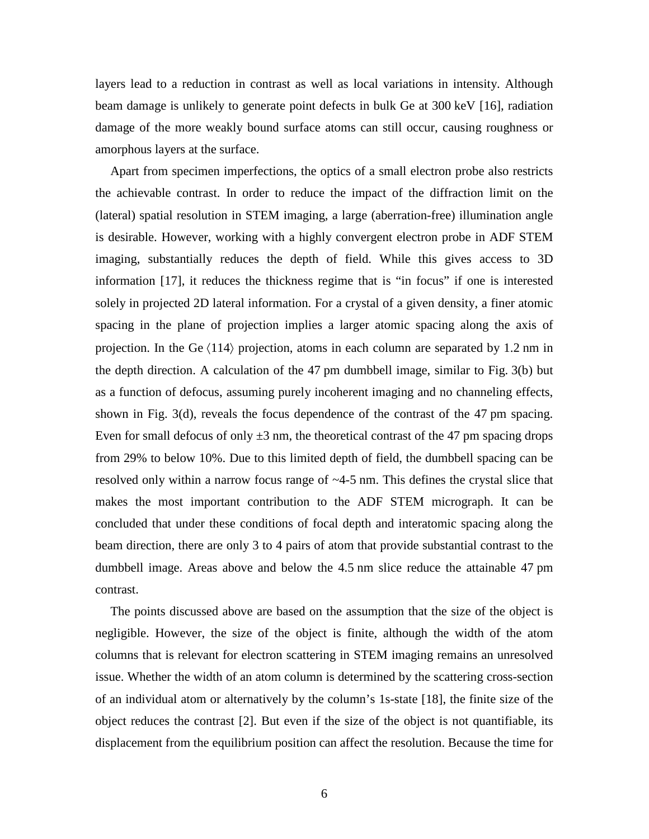layers lead to a reduction in contrast as well as local variations in intensity. Although beam damage is unlikely to generate point defects in bulk Ge at 300 keV [16], radiation damage of the more weakly bound surface atoms can still occur, causing roughness or amorphous layers at the surface.

Apart from specimen imperfections, the optics of a small electron probe also restricts the achievable contrast. In order to reduce the impact of the diffraction limit on the (lateral) spatial resolution in STEM imaging, a large (aberration-free) illumination angle is desirable. However, working with a highly convergent electron probe in ADF STEM imaging, substantially reduces the depth of field. While this gives access to 3D information [17], it reduces the thickness regime that is "in focus" if one is interested solely in projected 2D lateral information. For a crystal of a given density, a finer atomic spacing in the plane of projection implies a larger atomic spacing along the axis of projection. In the Ge  $\langle 114 \rangle$  projection, atoms in each column are separated by 1.2 nm in the depth direction. A calculation of the 47 pm dumbbell image, similar to Fig. 3(b) but as a function of defocus, assuming purely incoherent imaging and no channeling effects, shown in Fig. 3(d), reveals the focus dependence of the contrast of the 47 pm spacing. Even for small defocus of only  $\pm 3$  nm, the theoretical contrast of the 47 pm spacing drops from 29% to below 10%. Due to this limited depth of field, the dumbbell spacing can be resolved only within a narrow focus range of ~4-5 nm. This defines the crystal slice that makes the most important contribution to the ADF STEM micrograph. It can be concluded that under these conditions of focal depth and interatomic spacing along the beam direction, there are only 3 to 4 pairs of atom that provide substantial contrast to the dumbbell image. Areas above and below the 4.5 nm slice reduce the attainable 47 pm contrast.

The points discussed above are based on the assumption that the size of the object is negligible. However, the size of the object is finite, although the width of the atom columns that is relevant for electron scattering in STEM imaging remains an unresolved issue. Whether the width of an atom column is determined by the scattering cross-section of an individual atom or alternatively by the column's 1s-state [18], the finite size of the object reduces the contrast [2]. But even if the size of the object is not quantifiable, its displacement from the equilibrium position can affect the resolution. Because the time for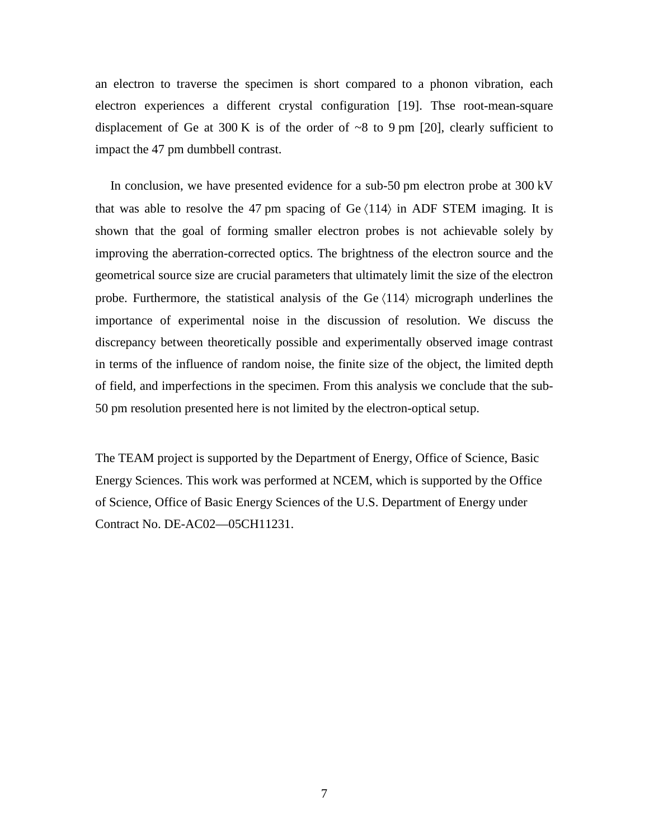an electron to traverse the specimen is short compared to a phonon vibration, each electron experiences a different crystal configuration [19]. Thse root-mean-square displacement of Ge at 300 K is of the order of  $\sim$ 8 to 9 pm [20], clearly sufficient to impact the 47 pm dumbbell contrast.

In conclusion, we have presented evidence for a sub-50 pm electron probe at 300 kV that was able to resolve the 47 pm spacing of  $\text{Ge } \langle 114 \rangle$  in ADF STEM imaging. It is shown that the goal of forming smaller electron probes is not achievable solely by improving the aberration-corrected optics. The brightness of the electron source and the geometrical source size are crucial parameters that ultimately limit the size of the electron probe. Furthermore, the statistical analysis of the Ge  $\langle 114 \rangle$  micrograph underlines the importance of experimental noise in the discussion of resolution. We discuss the discrepancy between theoretically possible and experimentally observed image contrast in terms of the influence of random noise, the finite size of the object, the limited depth of field, and imperfections in the specimen. From this analysis we conclude that the sub-50 pm resolution presented here is not limited by the electron-optical setup.

The TEAM project is supported by the Department of Energy, Office of Science, Basic Energy Sciences. This work was performed at NCEM, which is supported by the Office of Science, Office of Basic Energy Sciences of the U.S. Department of Energy under Contract No. DE-AC02—05CH11231.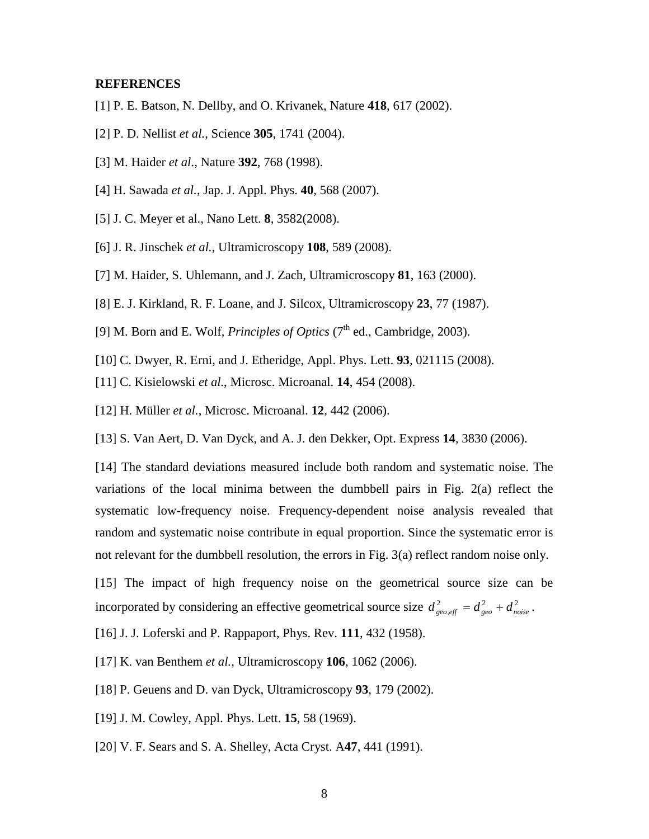## **REFERENCES**

- [1] P. E. Batson, N. Dellby, and O. Krivanek, Nature **418**, 617 (2002).
- [2] P. D. Nellist *et al.*, Science **305**, 1741 (2004).
- [3] M. Haider *et al*., Nature **392**, 768 (1998).
- [4] H. Sawada *et al.*, Jap. J. Appl. Phys. **40**, 568 (2007).
- [5] J. C. Meyer et al., Nano Lett. **8**, 3582(2008).
- [6] J. R. Jinschek *et al.*, Ultramicroscopy **108**, 589 (2008).
- [7] M. Haider, S. Uhlemann, and J. Zach, Ultramicroscopy **81**, 163 (2000).
- [8] E. J. Kirkland, R. F. Loane, and J. Silcox, Ultramicroscopy **23**, 77 (1987).
- [9] M. Born and E. Wolf, *Principles of Optics*  $(7<sup>th</sup>$  ed., Cambridge, 2003).
- [10] C. Dwyer, R. Erni, and J. Etheridge, Appl. Phys. Lett. **93**, 021115 (2008).
- [11] C. Kisielowski *et al.*, Microsc. Microanal. **14**, 454 (2008).
- [12] H. Müller *et al.*, Microsc. Microanal. **12**, 442 (2006).

[13] S. Van Aert, D. Van Dyck, and A. J. den Dekker, Opt. Express **14**, 3830 (2006).

[14] The standard deviations measured include both random and systematic noise. The variations of the local minima between the dumbbell pairs in Fig. 2(a) reflect the systematic low-frequency noise. Frequency-dependent noise analysis revealed that random and systematic noise contribute in equal proportion. Since the systematic error is not relevant for the dumbbell resolution, the errors in Fig. 3(a) reflect random noise only.

[15] The impact of high frequency noise on the geometrical source size can be incorporated by considering an effective geometrical source size  $d_{geo, eff}^2 = d_{geo}^2 + d_{noise}^2$ .

[16] J. J. Loferski and P. Rappaport, Phys. Rev. **111**, 432 (1958).

[17] K. van Benthem *et al.*, Ultramicroscopy **106**, 1062 (2006).

[18] P. Geuens and D. van Dyck, Ultramicroscopy **93**, 179 (2002).

[19] J. M. Cowley, Appl. Phys. Lett. **15**, 58 (1969).

[20] V. F. Sears and S. A. Shelley, Acta Cryst. A**47**, 441 (1991).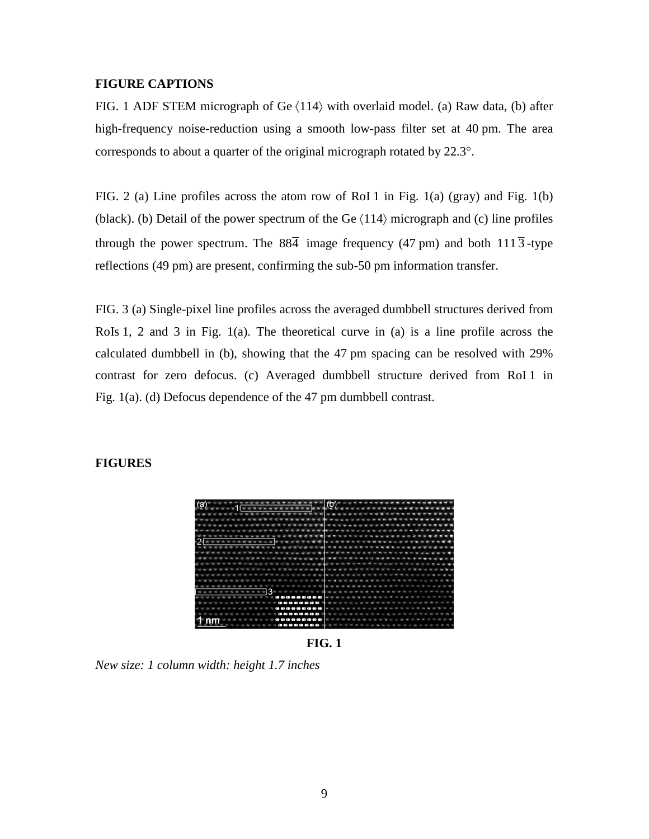## **FIGURE CAPTIONS**

FIG. 1 ADF STEM micrograph of Ge  $\langle 114 \rangle$  with overlaid model. (a) Raw data, (b) after high-frequency noise-reduction using a smooth low-pass filter set at 40 pm. The area corresponds to about a quarter of the original micrograph rotated by 22.3°.

FIG. 2 (a) Line profiles across the atom row of RoI 1 in Fig. 1(a) (gray) and Fig. 1(b) (black). (b) Detail of the power spectrum of the Ge  $\langle 114 \rangle$  micrograph and (c) line profiles through the power spectrum. The  $88\overline{4}$  image frequency (47 pm) and both  $111\overline{3}$ -type reflections (49 pm) are present, confirming the sub-50 pm information transfer.

FIG. 3 (a) Single-pixel line profiles across the averaged dumbbell structures derived from RoIs 1, 2 and 3 in Fig. 1(a). The theoretical curve in (a) is a line profile across the calculated dumbbell in (b), showing that the 47 pm spacing can be resolved with 29% contrast for zero defocus. (c) Averaged dumbbell structure derived from RoI 1 in Fig. 1(a). (d) Defocus dependence of the 47 pm dumbbell contrast.

## **FIGURES**



**FIG. 1**

*New size: 1 column width: height 1.7 inches*